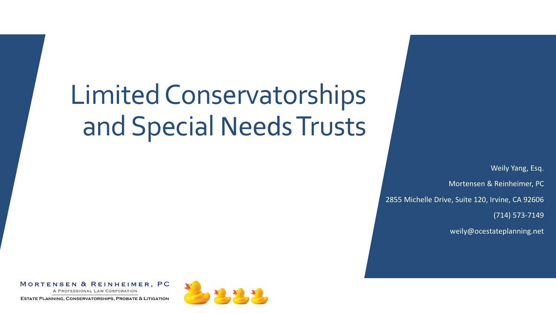# Limited Conservatorships and Special Needs Trusts

Weily Yang, Esq. Mortensen & Reinheimer, PC 2855 Michelle Drive, Suite 120, Irvine, CA 92606 (714) 573-7149

weily@ocestateplanning.net

#### MORTENSEN & REINHEIMER, PC

A PROFESSIONAL LAW CORPORATION

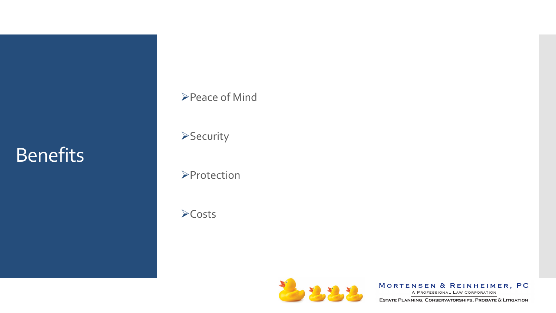#### **Benefits**

#### **≻Peace of Mind**

**>Security** 

**>Protection** 

Costs



MORTENSEN & REINHEIMER, PC

A PROFESSIONAL LAW CORPORATION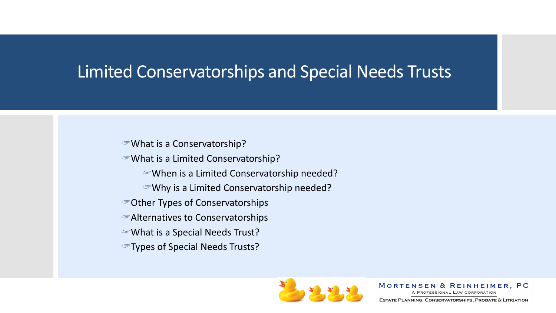#### Limited Conservatorships and Special Needs Trusts

What is a Conservatorship?

What is a Limited Conservatorship?

- When is a Limited Conservatorship needed?
- Why is a Limited Conservatorship needed?
- Other Types of Conservatorships
- Alternatives to Conservatorships
- What is a Special Needs Trust?
- Types of Special Needs Trusts?



MORTENSEN & REINHEIMER, PC

A PROFESSIONAL LAW CORPORATION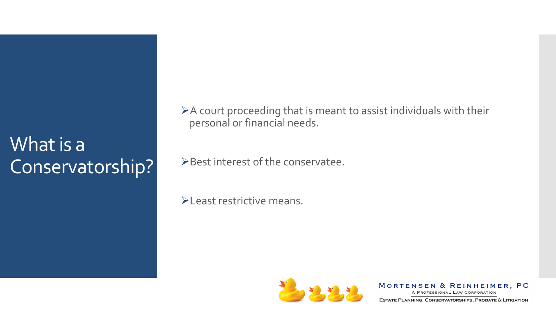A court proceeding that is meant to assist individuals with their personal or financial needs.

Best interest of the conservatee.

**ELEAST restrictive means.** 



MORTENSEN & REINHEIMER, PC

A PROFESSIONAL LAW CORPORATION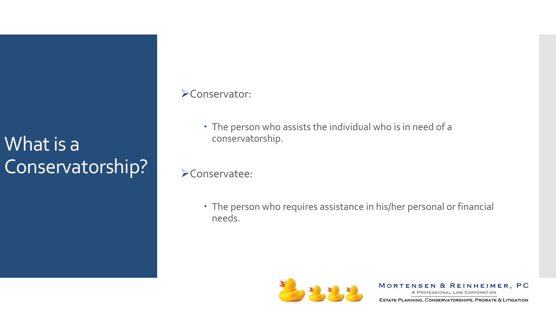#### Conservator:

- The person who assists the individual who is in need of a conservatorship.
- Conservatee:
	- The person who requires assistance in his/her personal or financial needs.



MORTENSEN & REINHEIMER, PC A PROFESSIONAL LAW CORPORATION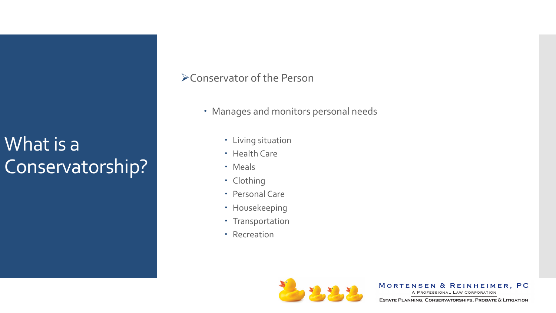#### Conservator of the Person

- Manages and monitors personal needs
	- Living situation
	- Health Care
	- Meals
	- Clothing
	- Personal Care
	- Housekeeping
	- Transportation
	- Recreation



MORTENSEN & REINHEIMER, PC

A PROFESSIONAL LAW CORPORATION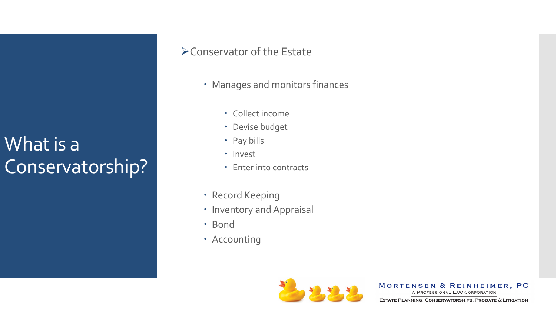#### Conservator of the Estate

- Manages and monitors finances
	- Collect income
	- Devise budget
	- Pay bills
	- · Invest
	- Enter into contracts
- Record Keeping
- Inventory and Appraisal
- · Bond
- Accounting



MORTENSEN & REINHEIMER, PC

A PROFESSIONAL LAW CORPORATION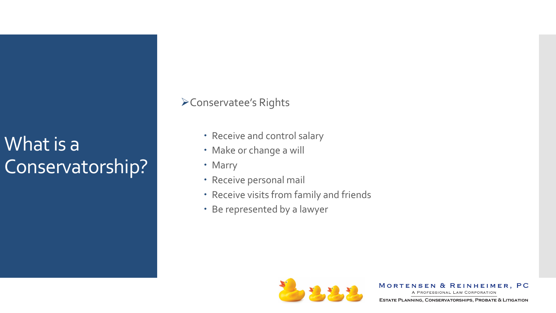#### Conservatee's Rights

- Receive and control salary
- Make or change a will
- Marry
- Receive personal mail
- Receive visits from family and friends
- Be represented by a lawyer



MORTENSEN & REINHEIMER, PC

A PROFESSIONAL LAW CORPORATION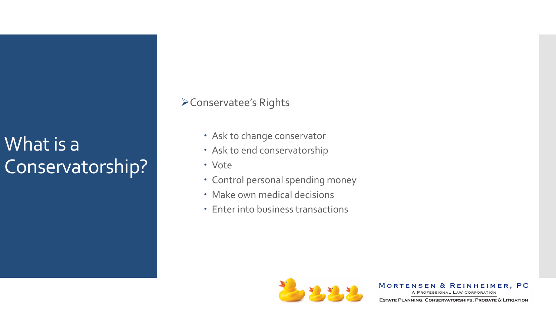#### Conservatee's Rights

- Ask to change conservator
- Ask to end conservatorship
- Vote
- Control personal spending money
- Make own medical decisions
- Enter into business transactions



MORTENSEN & REINHEIMER, PC

A PROFESSIONAL LAW CORPORATION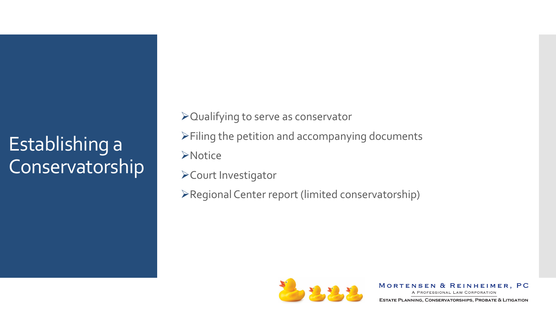### Establishing a Conservatorship

Qualifying to serve as conservator  $\triangleright$  Filing the petition and accompanying documents **>Notice** Court Investigator

Regional Center report (limited conservatorship)



MORTENSEN & REINHEIMER, PC

A PROFESSIONAL LAW CORPORATION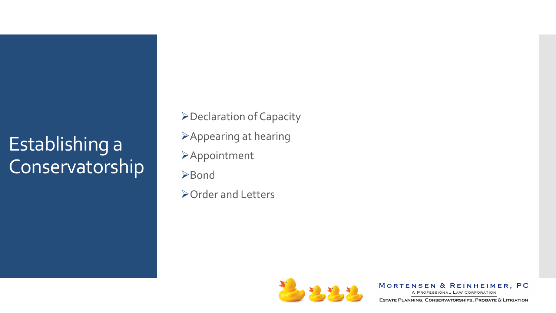### Establishing a Conservatorship

Declaration of Capacity Appearing at hearing **>Appointment ≻Bond** Order and Letters



MORTENSEN & REINHEIMER, PC

A PROFESSIONAL LAW CORPORATION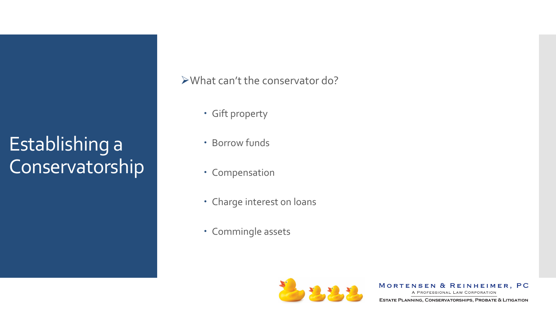Establishing a Conservatorship What can't the conservator do?

- Gift property
- Borrow funds
- Compensation
- Charge interest on loans
- Commingle assets



MORTENSEN & REINHEIMER, PC

A PROFESSIONAL LAW CORPORATION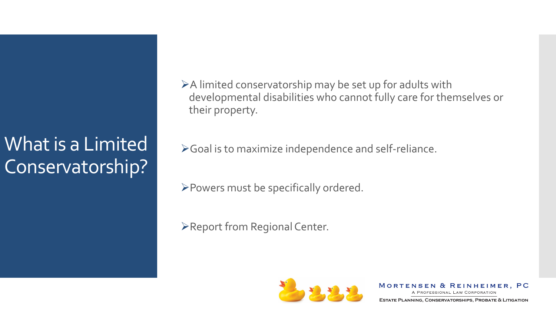A limited conservatorship may be set up for adults with developmental disabilities who cannot fully care for themselves or their property.

Goal is to maximize independence and self-reliance.

Powers must be specifically ordered.

Report from Regional Center.



MORTENSEN & REINHEIMER, PC

A PROFESSIONAL LAW CORPORATION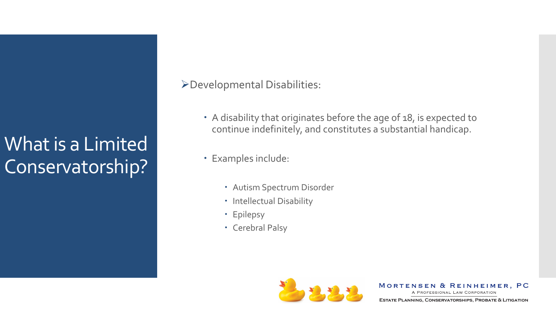Developmental Disabilities:

- A disability that originates before the age of 18, is expected to continue indefinitely, and constitutes a substantial handicap.
- Examples include:
	- Autism Spectrum Disorder
	- Intellectual Disability
	- Epilepsy
	- Cerebral Palsy



MORTENSEN & REINHEIMER, PC

A PROFESSIONAL LAW CORPORATION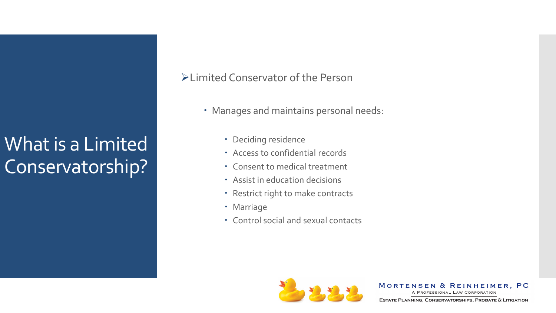Limited Conservator of the Person

- Manages and maintains personal needs:
	- Deciding residence
	- Access to confidential records
	- Consent to medical treatment
	- Assist in education decisions
	- Restrict right to make contracts
	- Marriage
	- Control social and sexual contacts



MORTENSEN & REINHEIMER, PC

A PROFESSIONAL LAW CORPORATION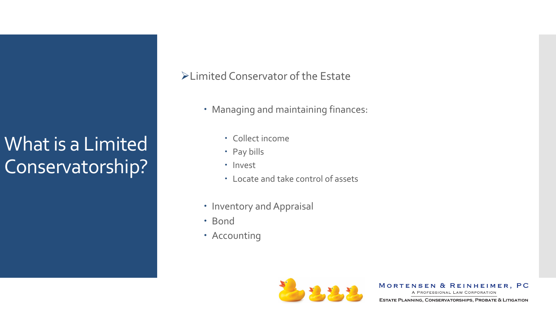Limited Conservator of the Estate

- Managing and maintaining finances:
	- Collect income
	- Pay bills
	- · Invest
	- Locate and take control of assets
- Inventory and Appraisal
- Bond
- Accounting



MORTENSEN & REINHEIMER, PC

A PROFESSIONAL LAW CORPORATION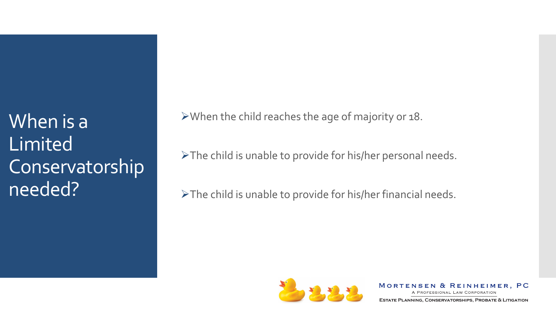When is a Limited Conservatorship needed?

When the child reaches the age of majority or 18.

The child is unable to provide for his/her personal needs.

The child is unable to provide for his/her financial needs.



MORTENSEN & REINHEIMER, PC

A PROFESSIONAL LAW CORPORATION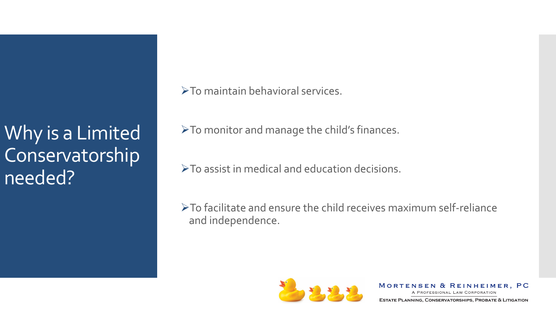Why is a Limited Conservatorship needed?

To maintain behavioral services.

To monitor and manage the child's finances.

 $\triangleright$  To assist in medical and education decisions.

To facilitate and ensure the child receives maximum self-reliance and independence.



MORTENSEN & REINHEIMER, PC

A PROFESSIONAL LAW CORPORATION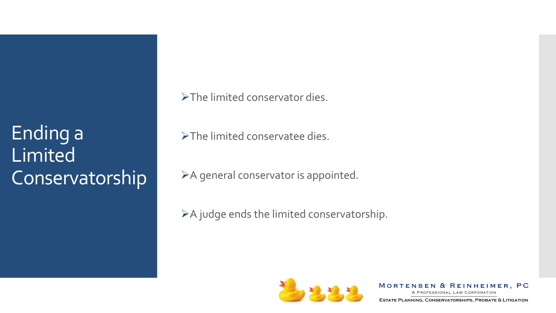Ending a Limited Conservatorship >The limited conservator dies.

The limited conservatee dies.

A general conservator is appointed.

 $\triangleright$  A judge ends the limited conservatorship.



MORTENSEN & REINHEIMER, PC

A PROFESSIONAL LAW CORPORATION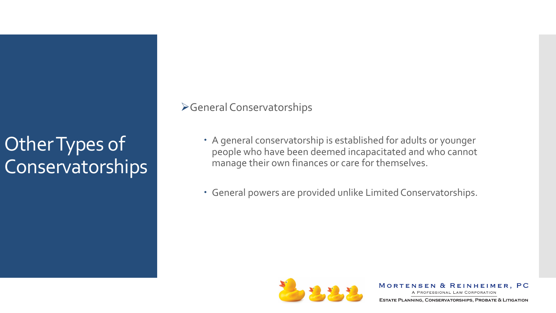General Conservatorships

- A general conservatorship is established for adults or younger people who have been deemed incapacitated and who cannot manage their own finances or care for themselves.
- General powers are provided unlike Limited Conservatorships.



MORTENSEN & REINHEIMER, PC A PROFESSIONAL LAW CORPORATION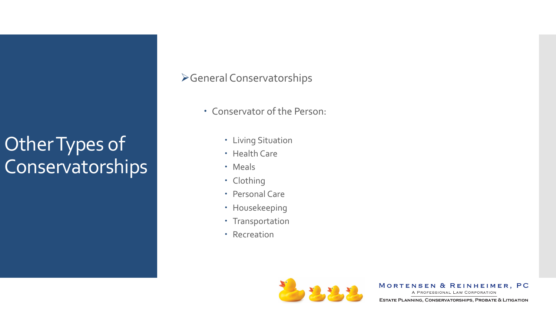#### General Conservatorships

- Conservator of the Person:
	- Living Situation
	- Health Care
	- Meals
	- Clothing
	- Personal Care
	- Housekeeping
	- Transportation
	- Recreation



MORTENSEN & REINHEIMER, PC

A PROFESSIONAL LAW CORPORATION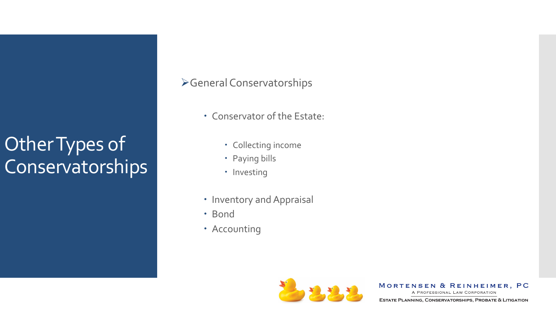#### General Conservatorships

- Conservator of the Estate:
	- Collecting income
	- Paying bills
	- Investing
- Inventory and Appraisal
- Bond
- Accounting



MORTENSEN & REINHEIMER, PC

A PROFESSIONAL LAW CORPORATION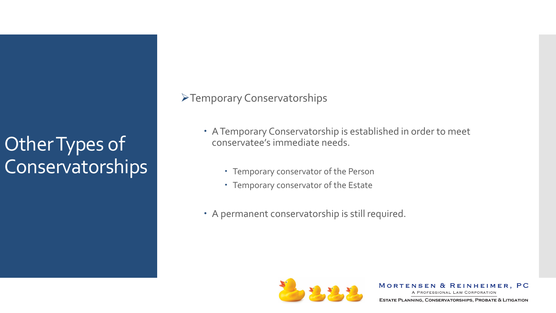Temporary Conservatorships

- A Temporary Conservatorship is established in order to meet conservatee's immediate needs.
	- Temporary conservator of the Person
	- Temporary conservator of the Estate
- A permanent conservatorship is still required.



MORTENSEN & REINHEIMER, PC

A PROFESSIONAL LAW CORPORATION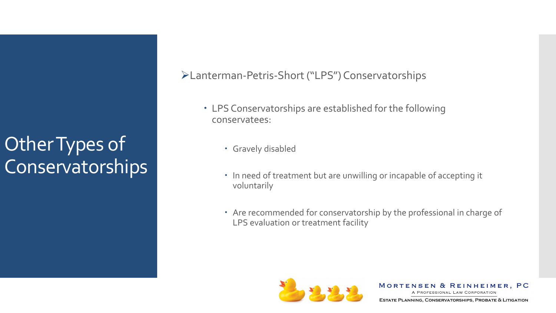#### Lanterman-Petris-Short ("LPS") Conservatorships

- LPS Conservatorships are established for the following conservatees:
	- Gravely disabled
	- In need of treatment but are unwilling or incapable of accepting it voluntarily
	- Are recommended for conservatorship by the professional in charge of LPS evaluation or treatment facility



MORTENSEN & REINHEIMER, PC A PROFESSIONAL LAW CORPORATION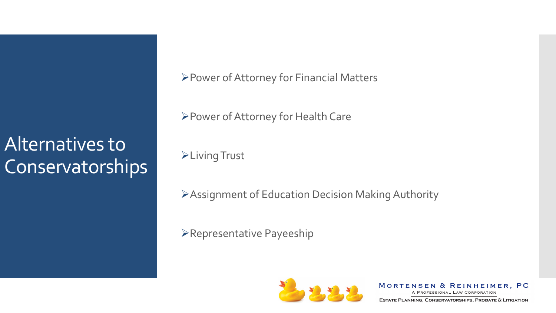### Alternatives to **Conservatorships**

Power of Attorney for Financial Matters

Power of Attorney for Health Care

**>Living Trust** 

Assignment of Education Decision Making Authority

Representative Payeeship



MORTENSEN & REINHEIMER, PC

A PROFESSIONAL LAW CORPORATION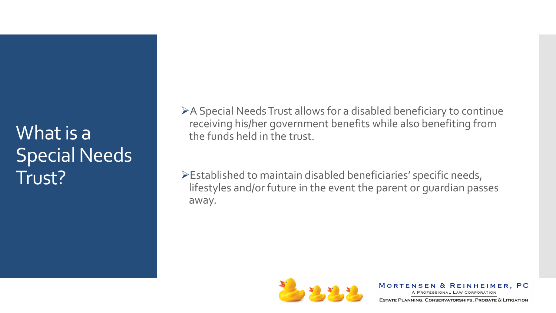A Special Needs Trust allows for a disabled beneficiary to continue receiving his/her government benefits while also benefiting from the funds held in the trust.

Established to maintain disabled beneficiaries' specific needs, lifestyles and/or future in the event the parent or guardian passes away.



MORTENSEN & REINHEIMER, PC

A PROFESSIONAL LAW CORPORATION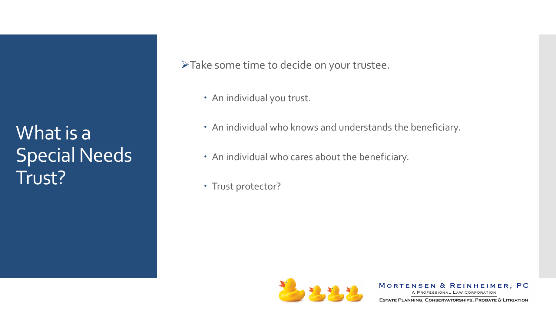Take some time to decide on your trustee.

- An individual you trust.
- An individual who knows and understands the beneficiary.
- An individual who cares about the beneficiary.
- Trust protector?



MORTENSEN & REINHEIMER, PC

A PROFESSIONAL LAW CORPORATION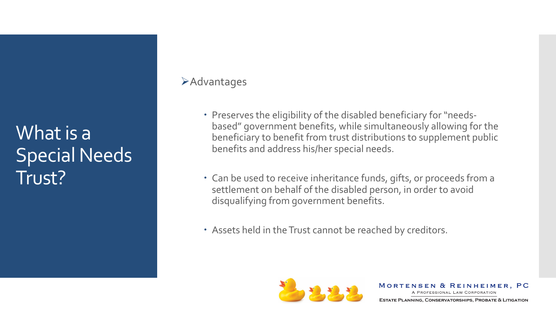#### **Example 2**

- Preserves the eligibility of the disabled beneficiary for "needsbased" government benefits, while simultaneously allowing for the beneficiary to benefit from trust distributions to supplement public benefits and address his/her special needs.
- Can be used to receive inheritance funds, gifts, or proceeds from a settlement on behalf of the disabled person, in order to avoid disqualifying from government benefits.
- Assets held in the Trust cannot be reached by creditors.



MORTENSEN & REINHEIMER, PC A PROFESSIONAL LAW CORPORATION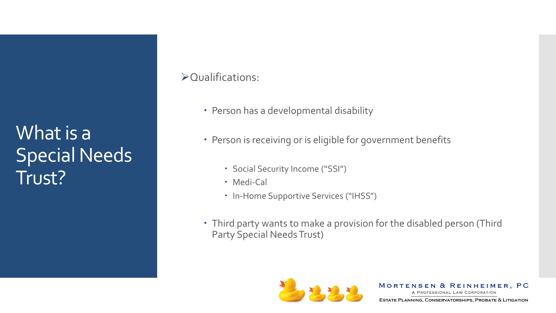#### Qualifications:

- Person has a developmental disability
- Person is receiving or is eligible for government benefits
	- Social Security Income ("SSI")
	- Medi-Cal
	- In-Home Supportive Services ("IHSS")
- Third party wants to make a provision for the disabled person (Third Party Special Needs Trust)



MORTENSEN & REINHEIMER, PC A PROFESSIONAL LAW CORPORATION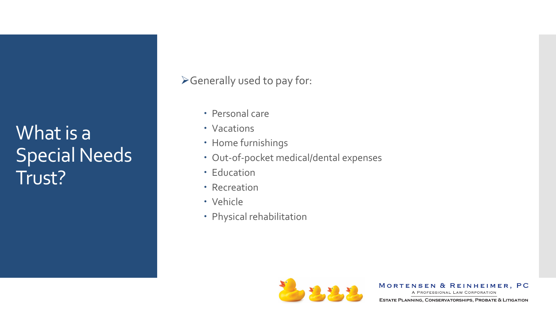Generally used to pay for:

- Personal care
- Vacations
- Home furnishings
- Out-of-pocket medical/dental expenses
- Education
- Recreation
- Vehicle
- Physical rehabilitation



MORTENSEN & REINHEIMER, PC

A PROFESSIONAL LAW CORPORATION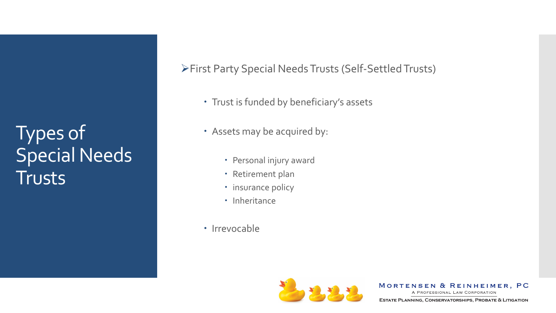### Types of Special Needs Trusts

First Party Special Needs Trusts (Self-Settled Trusts)

- Trust is funded by beneficiary's assets
- Assets may be acquired by:
	- Personal injury award
	- Retirement plan
	- insurance policy
	- Inheritance
- Irrevocable



MORTENSEN & REINHEIMER, PC

A PROFESSIONAL LAW CORPORATION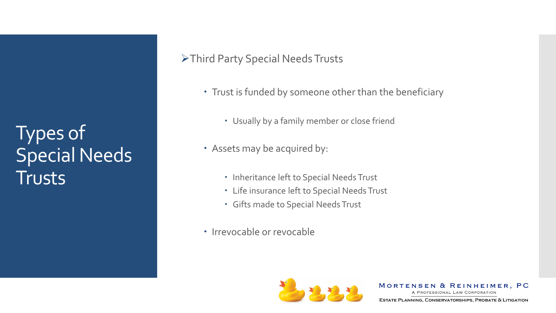### Types of Special Needs Trusts

#### Third Party Special Needs Trusts

- Trust is funded by someone other than the beneficiary
	- Usually by a family member or close friend
- Assets may be acquired by:
	- Inheritance left to Special Needs Trust
	- Life insurance left to Special Needs Trust
	- Gifts made to Special Needs Trust
- Irrevocable or revocable



MORTENSEN & REINHEIMER, PC

A PROFESSIONAL LAW CORPORATION